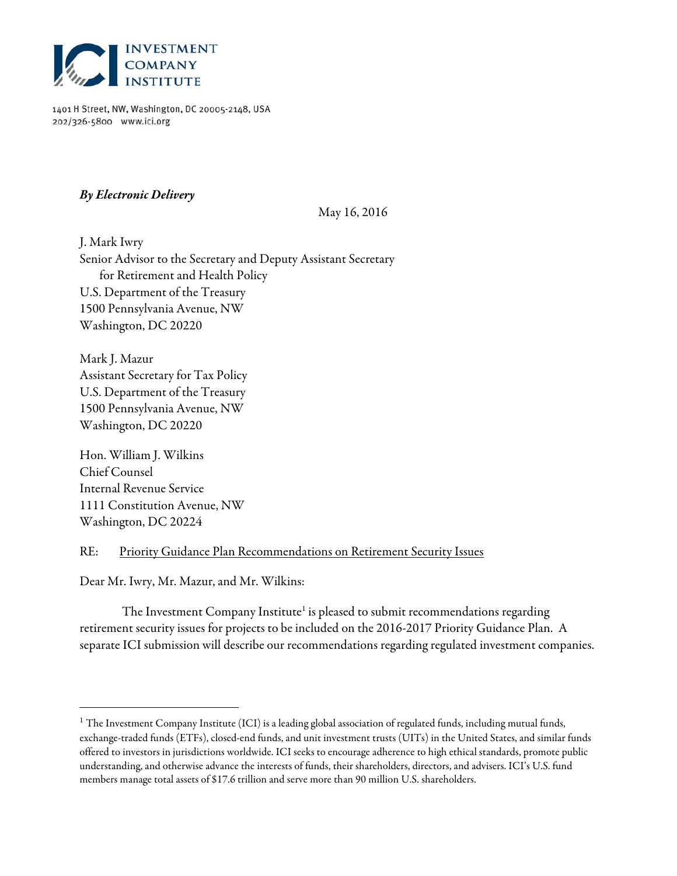

1401 H Street, NW, Washington, DC 20005-2148, USA 202/326-5800 www.ici.org

# **By Electronic Delivery**

### May 16, 2016

J. Mark Iwry Senior Advisor to the Secretary and Deputy Assistant Secretary for Retirement and Health Policy U.S. Department of the Treasury 1500 Pennsylvania Avenue, NW Washington, DC 20220

Mark J. Mazur Assistant Secretary for Tax Policy U.S. Department of the Treasury 1500 Pennsylvania Avenue, NW Washington, DC 20220

Hon. William J. Wilkins Chief Counsel Internal Revenue Service 1111 Constitution Avenue, NW Washington, DC 20224

l

## RE: Priority Guidance Plan Recommendations on Retirement Security Issues

Dear Mr. Iwry, Mr. Mazur, and Mr. Wilkins:

The Investment Company Institute<sup>1</sup> is pleased to submit recommendations regarding retirement security issues for projects to be included on the 2016-2017 Priority Guidance Plan. A separate ICI submission will describe our recommendations regarding regulated investment companies.

<sup>&</sup>lt;sup>1</sup> The Investment Company Institute (ICI) is a leading global association of regulated funds, including mutual funds, exchange-traded funds (ETFs), closed-end funds, and unit investment trusts (UITs) in the United States, and similar funds offered to investors in jurisdictions worldwide. ICI seeks to encourage adherence to high ethical standards, promote public understanding, and otherwise advance the interests of funds, their shareholders, directors, and advisers. ICI's U.S. fund members manage total assets of \$17.6 trillion and serve more than 90 million U.S. shareholders.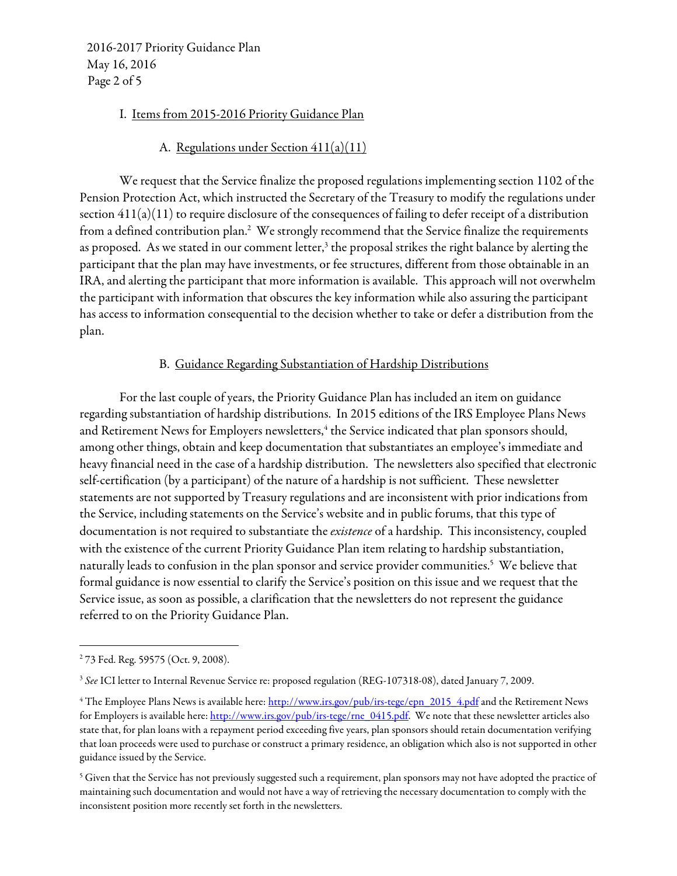2016-2017 Priority Guidance Plan May 16, 2016 Page 2 of 5

### I. Items from 2015-2016 Priority Guidance Plan

### A. Regulations under Section 411(a)(11)

We request that the Service finalize the proposed regulations implementing section 1102 of the Pension Protection Act, which instructed the Secretary of the Treasury to modify the regulations under section 411(a)(11) to require disclosure of the consequences of failing to defer receipt of a distribution from a defined contribution plan.<sup>2</sup> We strongly recommend that the Service finalize the requirements as proposed. As we stated in our comment letter, $3$  the proposal strikes the right balance by alerting the participant that the plan may have investments, or fee structures, different from those obtainable in an IRA, and alerting the participant that more information is available. This approach will not overwhelm the participant with information that obscures the key information while also assuring the participant has access to information consequential to the decision whether to take or defer a distribution from the plan.

#### B. Guidance Regarding Substantiation of Hardship Distributions

For the last couple of years, the Priority Guidance Plan has included an item on guidance regarding substantiation of hardship distributions. In 2015 editions of the IRS Employee Plans News and Retirement News for Employers newsletters,<sup>4</sup> the Service indicated that plan sponsors should, among other things, obtain and keep documentation that substantiates an employee's immediate and heavy financial need in the case of a hardship distribution. The newsletters also specified that electronic self-certification (by a participant) of the nature of a hardship is not sufficient. These newsletter statements are not supported by Treasury regulations and are inconsistent with prior indications from the Service, including statements on the Service's website and in public forums, that this type of documentation is not required to substantiate the *existence* of a hardship. This inconsistency, coupled with the existence of the current Priority Guidance Plan item relating to hardship substantiation, naturally leads to confusion in the plan sponsor and service provider communities.<sup>5</sup> We believe that formal guidance is now essential to clarify the Service's position on this issue and we request that the Service issue, as soon as possible, a clarification that the newsletters do not represent the guidance referred to on the Priority Guidance Plan.

l

<sup>2</sup> 73 Fed. Reg. 59575 (Oct. 9, 2008).

<sup>&</sup>lt;sup>3</sup> See ICI letter to Internal Revenue Service re: proposed regulation (REG-107318-08), dated January 7, 2009.

<sup>&</sup>lt;sup>4</sup> The Employee Plans News is available here: <u>http://www.irs.gov/pub/irs-tege/epn\_2015\_4.pdf</u> and the Retirement News for Employers is available here: http://www.irs.gov/pub/irs-tege/rne\_0415.pdf. We note that these newsletter articles also state that, for plan loans with a repayment period exceeding five years, plan sponsors should retain documentation verifying that loan proceeds were used to purchase or construct a primary residence, an obligation which also is not supported in other guidance issued by the Service.

 $^5$  Given that the Service has not previously suggested such a requirement, plan sponsors may not have adopted the practice of maintaining such documentation and would not have a way of retrieving the necessary documentation to comply with the inconsistent position more recently set forth in the newsletters.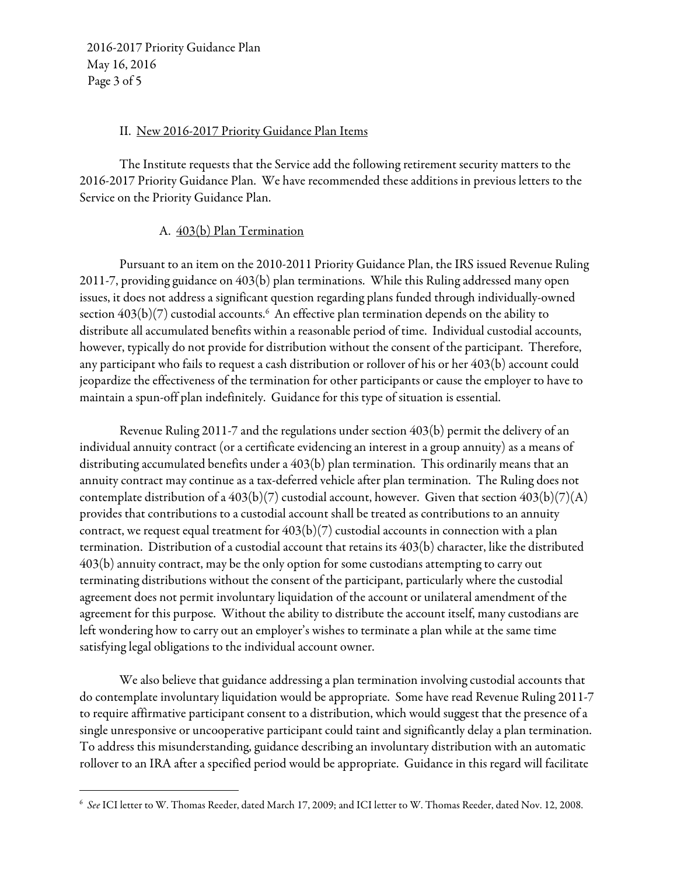2016-2017 Priority Guidance Plan May 16, 2016 Page 3 of 5

l

## II. New 2016-2017 Priority Guidance Plan Items

The Institute requests that the Service add the following retirement security matters to the 2016-2017 Priority Guidance Plan. We have recommended these additions in previous letters to the Service on the Priority Guidance Plan.

# A. 403(b) Plan Termination

Pursuant to an item on the 2010-2011 Priority Guidance Plan, the IRS issued Revenue Ruling 2011-7, providing guidance on 403(b) plan terminations. While this Ruling addressed many open issues, it does not address a significant question regarding plans funded through individually-owned section 403(b)(7) custodial accounts. $^6\,$  An effective plan termination depends on the ability to distribute all accumulated benefits within a reasonable period of time. Individual custodial accounts, however, typically do not provide for distribution without the consent of the participant. Therefore, any participant who fails to request a cash distribution or rollover of his or her 403(b) account could jeopardize the effectiveness of the termination for other participants or cause the employer to have to maintain a spun-off plan indefinitely. Guidance for this type of situation is essential.

Revenue Ruling 2011-7 and the regulations under section 403(b) permit the delivery of an individual annuity contract (or a certificate evidencing an interest in a group annuity) as a means of distributing accumulated benefits under a 403(b) plan termination. This ordinarily means that an annuity contract may continue as a tax-deferred vehicle after plan termination. The Ruling does not contemplate distribution of a  $403(b)(7)$  custodial account, however. Given that section  $403(b)(7)(A)$ provides that contributions to a custodial account shall be treated as contributions to an annuity contract, we request equal treatment for  $403(b)(7)$  custodial accounts in connection with a plan termination. Distribution of a custodial account that retains its 403(b) character, like the distributed 403(b) annuity contract, may be the only option for some custodians attempting to carry out terminating distributions without the consent of the participant, particularly where the custodial agreement does not permit involuntary liquidation of the account or unilateral amendment of the agreement for this purpose. Without the ability to distribute the account itself, many custodians are left wondering how to carry out an employer's wishes to terminate a plan while at the same time satisfying legal obligations to the individual account owner.

We also believe that guidance addressing a plan termination involving custodial accounts that do contemplate involuntary liquidation would be appropriate. Some have read Revenue Ruling 2011-7 to require affirmative participant consent to a distribution, which would suggest that the presence of a single unresponsive or uncooperative participant could taint and significantly delay a plan termination. To address this misunderstanding, guidance describing an involuntary distribution with an automatic rollover to an IRA after a specified period would be appropriate. Guidance in this regard will facilitate

 $^6$  See ICI letter to W. Thomas Reeder, dated March 17, 2009; and ICI letter to W. Thomas Reeder, dated Nov. 12, 2008.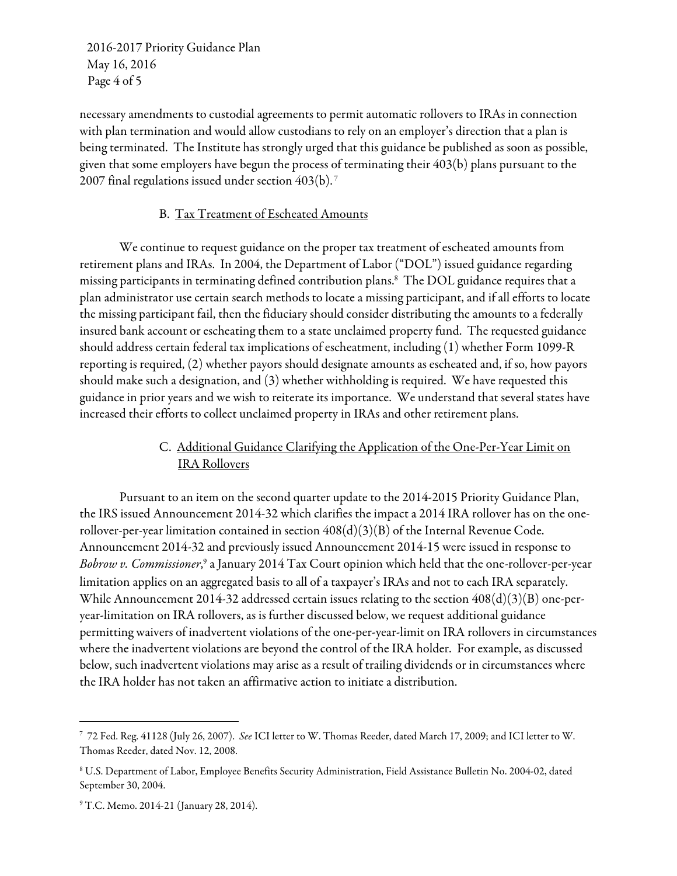2016-2017 Priority Guidance Plan May 16, 2016 Page 4 of 5

necessary amendments to custodial agreements to permit automatic rollovers to IRAs in connection with plan termination and would allow custodians to rely on an employer's direction that a plan is being terminated. The Institute has strongly urged that this guidance be published as soon as possible, given that some employers have begun the process of terminating their 403(b) plans pursuant to the 2007 final regulations issued under section 403(b). 7

## B. Tax Treatment of Escheated Amounts

We continue to request guidance on the proper tax treatment of escheated amounts from retirement plans and IRAs. In 2004, the Department of Labor ("DOL") issued guidance regarding missing participants in terminating defined contribution plans.8 The DOL guidance requires that a plan administrator use certain search methods to locate a missing participant, and if all efforts to locate the missing participant fail, then the fiduciary should consider distributing the amounts to a federally insured bank account or escheating them to a state unclaimed property fund. The requested guidance should address certain federal tax implications of escheatment, including (1) whether Form 1099-R reporting is required, (2) whether payors should designate amounts as escheated and, if so, how payors should make such a designation, and (3) whether withholding is required. We have requested this guidance in prior years and we wish to reiterate its importance. We understand that several states have increased their efforts to collect unclaimed property in IRAs and other retirement plans.

# C. Additional Guidance Clarifying the Application of the One-Per-Year Limit on IRA Rollovers

 Pursuant to an item on the second quarter update to the 2014-2015 Priority Guidance Plan, the IRS issued Announcement 2014-32 which clarifies the impact a 2014 IRA rollover has on the onerollover-per-year limitation contained in section 408(d)(3)(B) of the Internal Revenue Code. Announcement 2014-32 and previously issued Announcement 2014-15 were issued in response to Bobrow v. Commissioner,<sup>9</sup> a January 2014 Tax Court opinion which held that the one-rollover-per-year limitation applies on an aggregated basis to all of a taxpayer's IRAs and not to each IRA separately. While Announcement 2014-32 addressed certain issues relating to the section 408(d)(3)(B) one-peryear-limitation on IRA rollovers, as is further discussed below, we request additional guidance permitting waivers of inadvertent violations of the one-per-year-limit on IRA rollovers in circumstances where the inadvertent violations are beyond the control of the IRA holder. For example, as discussed below, such inadvertent violations may arise as a result of trailing dividends or in circumstances where the IRA holder has not taken an affirmative action to initiate a distribution.

 $\overline{a}$ 

<sup>7</sup> 72 Fed. Reg. 41128 (July 26, 2007). See ICI letter to W. Thomas Reeder, dated March 17, 2009; and ICI letter to W. Thomas Reeder, dated Nov. 12, 2008.

<sup>8</sup> U.S. Department of Labor, Employee Benefits Security Administration, Field Assistance Bulletin No. 2004-02, dated September 30, 2004.

<sup>9</sup> T.C. Memo. 2014-21 (January 28, 2014).